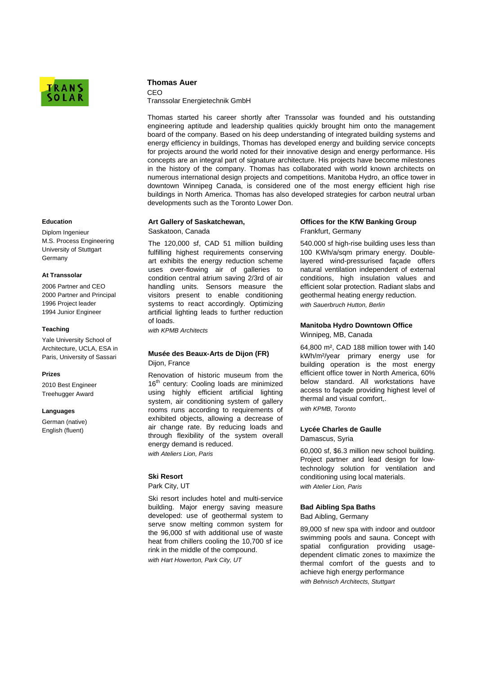

#### **Thomas Auer**

CEO Transsolar Energietechnik GmbH

Thomas started his career shortly after Transsolar was founded and his outstanding engineering aptitude and leadership qualities quickly brought him onto the management board of the company. Based on his deep understanding of integrated building systems and energy efficiency in buildings, Thomas has developed energy and building service concepts for projects around the world noted for their innovative design and energy performance. His concepts are an integral part of signature architecture. His projects have become milestones in the history of the company. Thomas has collaborated with world known architects on numerous international design projects and competitions. Manitoba Hydro, an office tower in downtown Winnipeg Canada, is considered one of the most energy efficient high rise buildings in North America. Thomas has also developed strategies for carbon neutral urban developments such as the Toronto Lower Don.

# **Art Gallery of Saskatchewan,**

Saskatoon, Canada

The 120,000 sf, CAD 51 million building fulfilling highest requirements conserving art exhibits the energy reduction scheme uses over-flowing air of galleries to condition central atrium saving 2/3rd of air handling units. Sensors measure the visitors present to enable conditioning systems to react accordingly. Optimizing artificial lighting leads to further reduction of loads.

*with KPMB Architects* 

# **Musée des Beaux-Arts de Dijon (FR)**  Dijon, France

Renovation of historic museum from the 16<sup>th</sup> century: Cooling loads are minimized using highly efficient artificial lighting system, air conditioning system of gallery rooms runs according to requirements of exhibited objects, allowing a decrease of air change rate. By reducing loads and through flexibility of the system overall energy demand is reduced.

*with Ateliers Lion, Paris* 

# **Ski Resort**

Park City, UT

Ski resort includes hotel and multi-service building. Major energy saving measure developed: use of geothermal system to serve snow melting common system for the 96,000 sf with additional use of waste heat from chillers cooling the 10,700 sf ice rink in the middle of the compound. *with Hart Howerton, Park City, UT* 

# **Offices for the KfW Banking Group**  Frankfurt, Germany

540.000 sf high-rise building uses less than 100 KWh/a/sqm primary energy. Doublelayered wind-pressurised façade offers natural ventilation independent of external conditions, high insulation values and efficient solar protection. Radiant slabs and geothermal heating energy reduction. *with Sauerbruch Hutton, Berlin* 

# **Manitoba Hydro Downtown Office**  Winnipeg, MB, Canada

64,800 m², CAD 188 million tower with 140 kWh/m²/year primary energy use for building operation is the most energy efficient office tower in North America, 60% below standard. All workstations have access to façade providing highest level of thermal and visual comfort,.

*with KPMB, Toronto* 

# **Lycée Charles de Gaulle**

Damascus, Syria

60,000 sf, \$6.3 million new school building. Project partner and lead design for lowtechnology solution for ventilation and conditioning using local materials. *with Atelier Lion, Paris*

# **Bad Aibling Spa Baths**

Bad Aibling, Germany

89,000 sf new spa with indoor and outdoor swimming pools and sauna. Concept with spatial configuration providing usagedependent climatic zones to maximize the thermal comfort of the guests and to achieve high energy performance *with Behnisch Architects, Stuttgart* 

#### **Education**

Diplom Ingenieur M.S. Process Engineering University of Stuttgart Germany

# **At Transsolar**

2006 Partner and CEO 2000 Partner and Principal 1996 Project leader 1994 Junior Engineer

### **Teaching**

Yale University School of Architecture, UCLA, ESA in Paris, University of Sassari

## **Prizes**

2010 Best Engineer Treehugger Award

#### **Languages**

German (native) English (fluent)